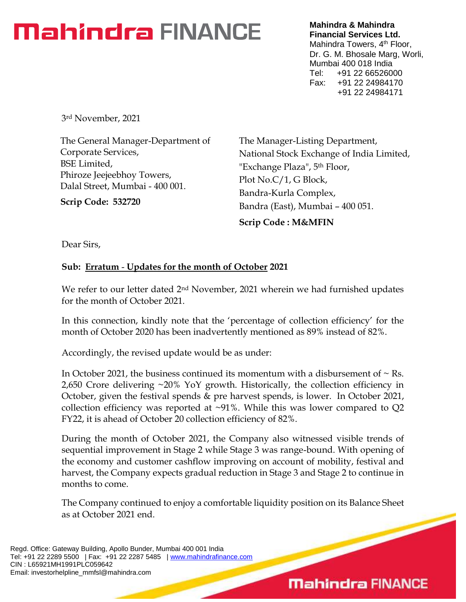# **Mahindra FINANCE**

**Mahindra & Mahindra Financial Services Ltd.** Mahindra Towers, 4<sup>th</sup> Floor, Dr. G. M. Bhosale Marg, Worli, Mumbai 400 018 India Tel: +91 22 66526000 Fax: +91 22 24984170 +91 22 24984171

3rd November, 2021

The General Manager-Department of Corporate Services, BSE Limited, Phiroze Jeejeebhoy Towers, Dalal Street, Mumbai - 400 001.

**Scrip Code: 532720**

The Manager-Listing Department, National Stock Exchange of India Limited, "Exchange Plaza", 5th Floor, Plot No.C/1, G Block, Bandra-Kurla Complex, Bandra (East), Mumbai – 400 051. **Scrip Code : M&MFIN**

Dear Sirs,

#### **Sub: Erratum** - **Updates for the month of October 2021**

We refer to our letter dated 2<sup>nd</sup> November, 2021 wherein we had furnished updates for the month of October 2021.

In this connection, kindly note that the 'percentage of collection efficiency' for the month of October 2020 has been inadvertently mentioned as 89% instead of 82%.

Accordingly, the revised update would be as under:

In October 2021, the business continued its momentum with a disbursement of  $\sim$  Rs. 2,650 Crore delivering ~20% YoY growth. Historically, the collection efficiency in October, given the festival spends & pre harvest spends, is lower. In October 2021, collection efficiency was reported at  $\sim$ 91%. While this was lower compared to Q2 FY22, it is ahead of October 20 collection efficiency of 82%.

During the month of October 2021, the Company also witnessed visible trends of sequential improvement in Stage 2 while Stage 3 was range-bound. With opening of the economy and customer cashflow improving on account of mobility, festival and harvest, the Company expects gradual reduction in Stage 3 and Stage 2 to continue in months to come.

The Company continued to enjoy a comfortable liquidity position on its Balance Sheet as at October 2021 end.

### **Mahindra FINANCE**